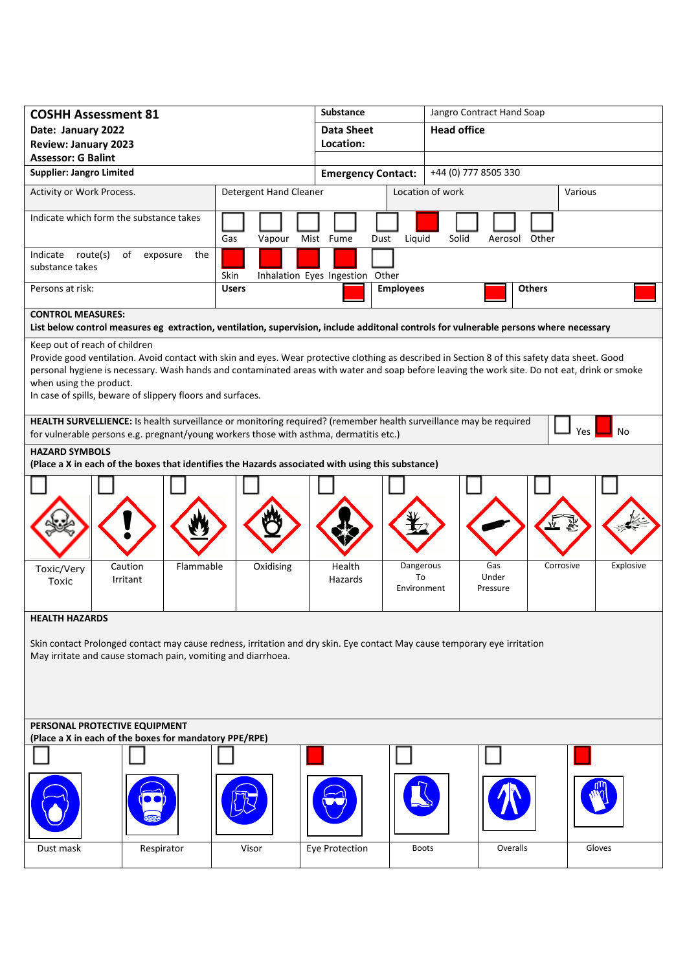| <b>COSHH Assessment 81</b>                                                                                                                                                                                               |                                                                                                                                                                                                                                                                                                 |           |                        |           |                           | <b>Substance</b>                |      |                      | Jangro Contract Hand Soap |       |                   |               |           |  |           |
|--------------------------------------------------------------------------------------------------------------------------------------------------------------------------------------------------------------------------|-------------------------------------------------------------------------------------------------------------------------------------------------------------------------------------------------------------------------------------------------------------------------------------------------|-----------|------------------------|-----------|---------------------------|---------------------------------|------|----------------------|---------------------------|-------|-------------------|---------------|-----------|--|-----------|
| Date: January 2022                                                                                                                                                                                                       |                                                                                                                                                                                                                                                                                                 |           |                        |           |                           | <b>Data Sheet</b>               |      |                      | <b>Head office</b>        |       |                   |               |           |  |           |
| <b>Review: January 2023</b>                                                                                                                                                                                              |                                                                                                                                                                                                                                                                                                 |           |                        |           |                           | Location:                       |      |                      |                           |       |                   |               |           |  |           |
| <b>Assessor: G Balint</b><br><b>Supplier: Jangro Limited</b>                                                                                                                                                             |                                                                                                                                                                                                                                                                                                 |           |                        |           |                           |                                 |      | +44 (0) 777 8505 330 |                           |       |                   |               |           |  |           |
|                                                                                                                                                                                                                          |                                                                                                                                                                                                                                                                                                 |           |                        |           | <b>Emergency Contact:</b> |                                 |      |                      |                           |       |                   |               |           |  |           |
| Activity or Work Process.                                                                                                                                                                                                |                                                                                                                                                                                                                                                                                                 |           | Detergent Hand Cleaner |           |                           |                                 |      | Location of work     |                           |       |                   | Various       |           |  |           |
| Indicate which form the substance takes                                                                                                                                                                                  |                                                                                                                                                                                                                                                                                                 |           |                        |           |                           |                                 |      |                      |                           |       |                   |               |           |  |           |
|                                                                                                                                                                                                                          |                                                                                                                                                                                                                                                                                                 |           | Gas                    | Vapour    |                           | Mist Fume                       | Dust | Liquid               |                           | Solid | Aerosol           |               | Other     |  |           |
| Indicate route(s)<br>of<br>the<br>exposure                                                                                                                                                                               |                                                                                                                                                                                                                                                                                                 |           |                        |           |                           |                                 |      |                      |                           |       |                   |               |           |  |           |
| substance takes                                                                                                                                                                                                          |                                                                                                                                                                                                                                                                                                 |           | Skin                   |           |                           | Inhalation Eyes Ingestion Other |      |                      |                           |       |                   |               |           |  |           |
| Persons at risk:                                                                                                                                                                                                         |                                                                                                                                                                                                                                                                                                 |           | <b>Users</b>           |           |                           |                                 |      | <b>Employees</b>     |                           |       |                   | <b>Others</b> |           |  |           |
| <b>CONTROL MEASURES:</b>                                                                                                                                                                                                 |                                                                                                                                                                                                                                                                                                 |           |                        |           |                           |                                 |      |                      |                           |       |                   |               |           |  |           |
| List below control measures eg extraction, ventilation, supervision, include additonal controls for vulnerable persons where necessary                                                                                   |                                                                                                                                                                                                                                                                                                 |           |                        |           |                           |                                 |      |                      |                           |       |                   |               |           |  |           |
| Keep out of reach of children                                                                                                                                                                                            |                                                                                                                                                                                                                                                                                                 |           |                        |           |                           |                                 |      |                      |                           |       |                   |               |           |  |           |
|                                                                                                                                                                                                                          | Provide good ventilation. Avoid contact with skin and eyes. Wear protective clothing as described in Section 8 of this safety data sheet. Good<br>personal hygiene is necessary. Wash hands and contaminated areas with water and soap before leaving the work site. Do not eat, drink or smoke |           |                        |           |                           |                                 |      |                      |                           |       |                   |               |           |  |           |
| when using the product.                                                                                                                                                                                                  |                                                                                                                                                                                                                                                                                                 |           |                        |           |                           |                                 |      |                      |                           |       |                   |               |           |  |           |
|                                                                                                                                                                                                                          | In case of spills, beware of slippery floors and surfaces.                                                                                                                                                                                                                                      |           |                        |           |                           |                                 |      |                      |                           |       |                   |               |           |  |           |
|                                                                                                                                                                                                                          |                                                                                                                                                                                                                                                                                                 |           |                        |           |                           |                                 |      |                      |                           |       |                   |               |           |  |           |
| HEALTH SURVELLIENCE: Is health surveillance or monitoring required? (remember health surveillance may be required<br>Yes<br>No<br>for vulnerable persons e.g. pregnant/young workers those with asthma, dermatitis etc.) |                                                                                                                                                                                                                                                                                                 |           |                        |           |                           |                                 |      |                      |                           |       |                   |               |           |  |           |
| <b>HAZARD SYMBOLS</b>                                                                                                                                                                                                    |                                                                                                                                                                                                                                                                                                 |           |                        |           |                           |                                 |      |                      |                           |       |                   |               |           |  |           |
| (Place a X in each of the boxes that identifies the Hazards associated with using this substance)                                                                                                                        |                                                                                                                                                                                                                                                                                                 |           |                        |           |                           |                                 |      |                      |                           |       |                   |               |           |  |           |
|                                                                                                                                                                                                                          |                                                                                                                                                                                                                                                                                                 |           |                        |           |                           |                                 |      |                      |                           |       |                   |               |           |  |           |
|                                                                                                                                                                                                                          |                                                                                                                                                                                                                                                                                                 |           |                        |           |                           |                                 |      |                      |                           |       |                   |               |           |  |           |
|                                                                                                                                                                                                                          |                                                                                                                                                                                                                                                                                                 |           |                        |           |                           |                                 |      |                      |                           |       |                   |               |           |  |           |
|                                                                                                                                                                                                                          |                                                                                                                                                                                                                                                                                                 |           |                        |           |                           |                                 |      |                      |                           |       |                   |               |           |  |           |
|                                                                                                                                                                                                                          |                                                                                                                                                                                                                                                                                                 |           |                        |           |                           |                                 |      |                      |                           |       |                   |               |           |  |           |
| Toxic/Very                                                                                                                                                                                                               | Caution                                                                                                                                                                                                                                                                                         | Flammable |                        | Oxidising |                           | Health                          |      | Dangerous            |                           |       | Gas               |               | Corrosive |  | Explosive |
| Toxic                                                                                                                                                                                                                    | Irritant                                                                                                                                                                                                                                                                                        |           |                        |           |                           | Hazards                         |      | To<br>Environment    |                           |       | Under<br>Pressure |               |           |  |           |
|                                                                                                                                                                                                                          |                                                                                                                                                                                                                                                                                                 |           |                        |           |                           |                                 |      |                      |                           |       |                   |               |           |  |           |
| <b>HEALTH HAZARDS</b>                                                                                                                                                                                                    |                                                                                                                                                                                                                                                                                                 |           |                        |           |                           |                                 |      |                      |                           |       |                   |               |           |  |           |
|                                                                                                                                                                                                                          |                                                                                                                                                                                                                                                                                                 |           |                        |           |                           |                                 |      |                      |                           |       |                   |               |           |  |           |
| Skin contact Prolonged contact may cause redness, irritation and dry skin. Eye contact May cause temporary eye irritation<br>May irritate and cause stomach pain, vomiting and diarrhoea.                                |                                                                                                                                                                                                                                                                                                 |           |                        |           |                           |                                 |      |                      |                           |       |                   |               |           |  |           |
|                                                                                                                                                                                                                          |                                                                                                                                                                                                                                                                                                 |           |                        |           |                           |                                 |      |                      |                           |       |                   |               |           |  |           |
|                                                                                                                                                                                                                          |                                                                                                                                                                                                                                                                                                 |           |                        |           |                           |                                 |      |                      |                           |       |                   |               |           |  |           |
|                                                                                                                                                                                                                          |                                                                                                                                                                                                                                                                                                 |           |                        |           |                           |                                 |      |                      |                           |       |                   |               |           |  |           |
| PERSONAL PROTECTIVE EQUIPMENT                                                                                                                                                                                            |                                                                                                                                                                                                                                                                                                 |           |                        |           |                           |                                 |      |                      |                           |       |                   |               |           |  |           |
| (Place a X in each of the boxes for mandatory PPE/RPE)                                                                                                                                                                   |                                                                                                                                                                                                                                                                                                 |           |                        |           |                           |                                 |      |                      |                           |       |                   |               |           |  |           |
|                                                                                                                                                                                                                          |                                                                                                                                                                                                                                                                                                 |           |                        |           |                           |                                 |      |                      |                           |       |                   |               |           |  |           |
|                                                                                                                                                                                                                          |                                                                                                                                                                                                                                                                                                 |           |                        |           |                           |                                 |      |                      |                           |       |                   |               |           |  |           |
|                                                                                                                                                                                                                          |                                                                                                                                                                                                                                                                                                 |           |                        |           |                           |                                 |      |                      |                           |       |                   |               |           |  |           |
|                                                                                                                                                                                                                          |                                                                                                                                                                                                                                                                                                 |           |                        |           |                           |                                 |      |                      |                           |       |                   |               |           |  |           |
|                                                                                                                                                                                                                          |                                                                                                                                                                                                                                                                                                 |           |                        |           |                           |                                 |      |                      |                           |       |                   |               |           |  |           |
| Dust mask                                                                                                                                                                                                                | Respirator                                                                                                                                                                                                                                                                                      |           |                        | Visor     |                           | Eye Protection                  |      | <b>Boots</b>         |                           |       |                   | Overalls      |           |  | Gloves    |
|                                                                                                                                                                                                                          |                                                                                                                                                                                                                                                                                                 |           |                        |           |                           |                                 |      |                      |                           |       |                   |               |           |  |           |